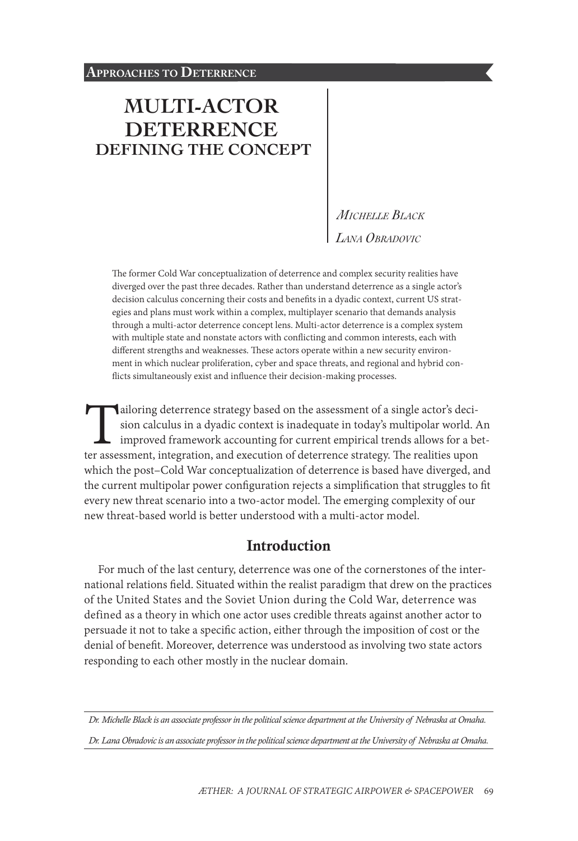# **[MULTI-ACTOR](#page-0-0)  [DETERRENCE](#page-0-0)  [DEFINING THE CONCEPT](#page-0-0)**

*Michelle Black Lana Obradovic*

The former Cold War conceptualization of deterrence and complex security realities have diverged over the past three decades. Rather than understand deterrence as a single actor's decision calculus concerning their costs and benefits in a dyadic context, current US strategies and plans must work within a complex, multiplayer scenario that demands analysis through a multi-actor deterrence concept lens. Multi-actor deterrence is a complex system with multiple state and nonstate actors with conflicting and common interests, each with different strengths and weaknesses. These actors operate within a new security environment in which nuclear proliferation, cyber and space threats, and regional and hybrid conflicts simultaneously exist and influence their decision-making processes.

ailoring deterrence strategy based on the assessment of a single actor's deci-<br>sion calculus in a dyadic context is inadequate in today's multipolar world. A<br>improved framework accounting for current empirical trends allow sion calculus in a dyadic context is inadequate in today's multipolar world. An improved framework accounting for current empirical trends allows for a betwhich the post–Cold War conceptualization of deterrence is based have diverged, and the current multipolar power configuration rejects a simplification that struggles to fit every new threat scenario into a two-actor model. The emerging complexity of our new threat-based world is better understood with a multi-actor model.

### **Introduction**

For much of the last century, deterrence was one of the cornerstones of the international relations field. Situated within the realist paradigm that drew on the practices of the United States and the Soviet Union during the Cold War, deterrence was defined as a theory in which one actor uses credible threats against another actor to persuade it not to take a specific action, either through the imposition of cost or the denial of benefit. Moreover, deterrence was understood as involving two state actors responding to each other mostly in the nuclear domain.

*Dr. Michelle Black is an associate professor in the political science department at the University of Nebraska at Omaha.*

<span id="page-0-0"></span>*Dr. Lana Obradovic is an associate professor in the political science department at the University of Nebraska at Omaha.*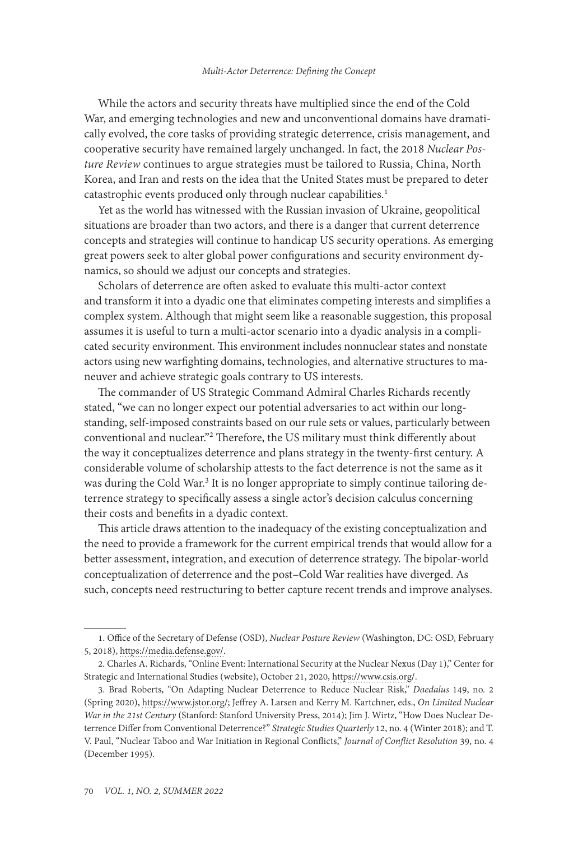While the actors and security threats have multiplied since the end of the Cold War, and emerging technologies and new and unconventional domains have dramatically evolved, the core tasks of providing strategic deterrence, crisis management, and cooperative security have remained largely unchanged. In fact, the 2018 *Nuclear Posture Review* continues to argue strategies must be tailored to Russia, China, North Korea, and Iran and rests on the idea that the United States must be prepared to deter catastrophic events produced only through nuclear capabilities.<sup>1</sup>

Yet as the world has witnessed with the Russian invasion of Ukraine, geopolitical situations are broader than two actors, and there is a danger that current deterrence concepts and strategies will continue to handicap US security operations. As emerging great powers seek to alter global power configurations and security environment dynamics, so should we adjust our concepts and strategies.

Scholars of deterrence are often asked to evaluate this multi-actor context and transform it into a dyadic one that eliminates competing interests and simplifies a complex system. Although that might seem like a reasonable suggestion, this proposal assumes it is useful to turn a multi-actor scenario into a dyadic analysis in a complicated security environment. This environment includes nonnuclear states and nonstate actors using new warfighting domains, technologies, and alternative structures to maneuver and achieve strategic goals contrary to US interests.

The commander of US Strategic Command Admiral Charles Richards recently stated, "we can no longer expect our potential adversaries to act within our longstanding, self-imposed constraints based on our rule sets or values, particularly between conventional and nuclear."2 Therefore, the US military must think differently about the way it conceptualizes deterrence and plans strategy in the twenty-first century. A considerable volume of scholarship attests to the fact deterrence is not the same as it was during the Cold War.<sup>3</sup> It is no longer appropriate to simply continue tailoring deterrence strategy to specifically assess a single actor's decision calculus concerning their costs and benefits in a dyadic context.

This article draws attention to the inadequacy of the existing conceptualization and the need to provide a framework for the current empirical trends that would allow for a better assessment, integration, and execution of deterrence strategy. The bipolar-world conceptualization of deterrence and the post–Cold War realities have diverged. As such, concepts need restructuring to better capture recent trends and improve analyses.

<sup>1.</sup> Office of the Secretary of Defense (OSD), *Nuclear Posture Review* (Washington, DC: OSD, February 5, 2018), [https://media.defense.gov/.](https://media.defense.gov/2018/Feb/02/2001872886/-1/-1/1/2018-NUCLEAR-POSTURE-REVIEW-FINAL-REPORT.PDF)

<sup>2.</sup> Charles A. Richards, "Online Event: International Security at the Nuclear Nexus (Day 1)," Center for Strategic and International Studies (website), October 21, 2020, [https://www.csis.org/.](https://www.csis.org/analysis/online-event-international-security-nuclear-nexus-day-1)

<sup>3.</sup> Brad Roberts, "On Adapting Nuclear Deterrence to Reduce Nuclear Risk," *Daedalus* 149, no. 2 (Spring 2020), [https://www.jstor.org/](https://www.jstor.org/stable/48591313); Jeffrey A. Larsen and Kerry M. Kartchner, eds., *On Limited Nuclear War in the 21st Century* (Stanford: Stanford University Press, 2014); Jim J. Wirtz, "How Does Nuclear Deterrence Differ from Conventional Deterrence?" *Strategic Studies Quarterly* 12, no. 4 (Winter 2018); and T. V. Paul, "Nuclear Taboo and War Initiation in Regional Conflicts," *Journal of Conflict Resolution* 39, no. 4 (December 1995).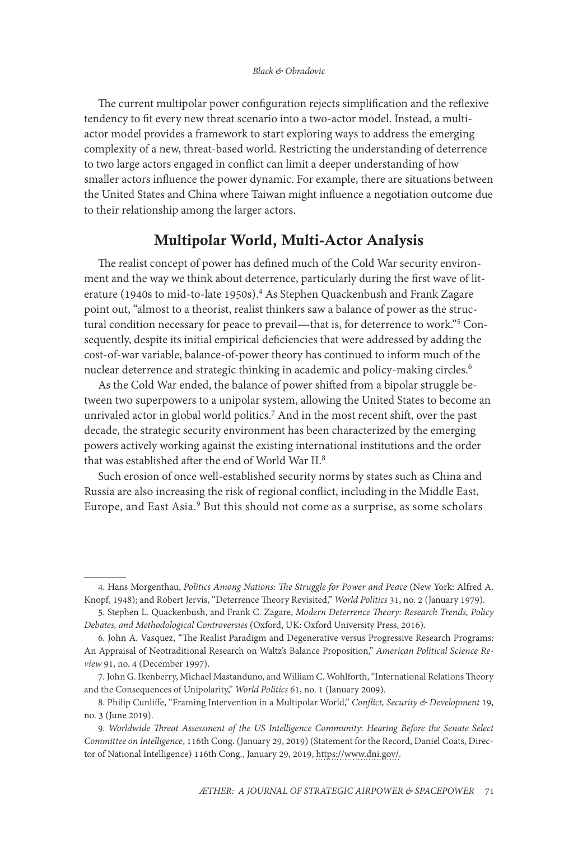The current multipolar power configuration rejects simplification and the reflexive tendency to fit every new threat scenario into a two-actor model. Instead, a multiactor model provides a framework to start exploring ways to address the emerging complexity of a new, threat-based world. Restricting the understanding of deterrence to two large actors engaged in conflict can limit a deeper understanding of how smaller actors influence the power dynamic. For example, there are situations between the United States and China where Taiwan might influence a negotiation outcome due to their relationship among the larger actors.

## Multipolar World, Multi-Actor Analysis

The realist concept of power has defined much of the Cold War security environment and the way we think about deterrence, particularly during the first wave of literature (1940s to mid-to-late 1950s).<sup>4</sup> As Stephen Quackenbush and Frank Zagare point out, "almost to a theorist, realist thinkers saw a balance of power as the structural condition necessary for peace to prevail—that is, for deterrence to work."5 Consequently, despite its initial empirical deficiencies that were addressed by adding the cost-of-war variable, balance-of-power theory has continued to inform much of the nuclear deterrence and strategic thinking in academic and policy-making circles.<sup>6</sup>

As the Cold War ended, the balance of power shifted from a bipolar struggle between two superpowers to a unipolar system, allowing the United States to become an unrivaled actor in global world politics.7 And in the most recent shift, over the past decade, the strategic security environment has been characterized by the emerging powers actively working against the existing international institutions and the order that was established after the end of World War II.<sup>8</sup>

Such erosion of once well-established security norms by states such as China and Russia are also increasing the risk of regional conflict, including in the Middle East, Europe, and East Asia.<sup>9</sup> But this should not come as a surprise, as some scholars

<sup>4.</sup> Hans Morgenthau, *Politics Among Nations: The Struggle for Power and Peace* (New York: Alfred A. Knopf, 1948); and Robert Jervis, "Deterrence Theory Revisited," *World Politics* 31, no. 2 (January 1979).

<sup>5.</sup> Stephen L. Quackenbush, and Frank C. Zagare, *Modern Deterrence Theory: Research Trends, Policy Debates, and Methodological Controversies* (Oxford, UK: Oxford University Press, 2016).

<sup>6.</sup> John A. Vasquez, "The Realist Paradigm and Degenerative versus Progressive Research Programs: An Appraisal of Neotraditional Research on Waltz's Balance Proposition," *American Political Science Review* 91, no. 4 (December 1997).

<sup>7.</sup> John G. Ikenberry, Michael Mastanduno, and William C. Wohlforth, "International Relations Theory and the Consequences of Unipolarity," *World Politics* 61, no. 1 (January 2009).

<sup>8.</sup> Philip Cunliffe, "Framing Intervention in a Multipolar World," *Conflict, Security & Development* 19, no. 3 (June 2019).

<sup>9.</sup> *Worldwide Threat Assessment of the US Intelligence Community*: *Hearing Before the Senate Select Committee on Intelligence*, 116th Cong. (January 29, 2019) (Statement for the Record, Daniel Coats, Director of National Intelligence) 116th Cong., January 29, 2019, [https://www.dni.gov/.](https://www.dni.gov/files/ODNI/documents/2019-ATA-SFR---SSCI.pdf)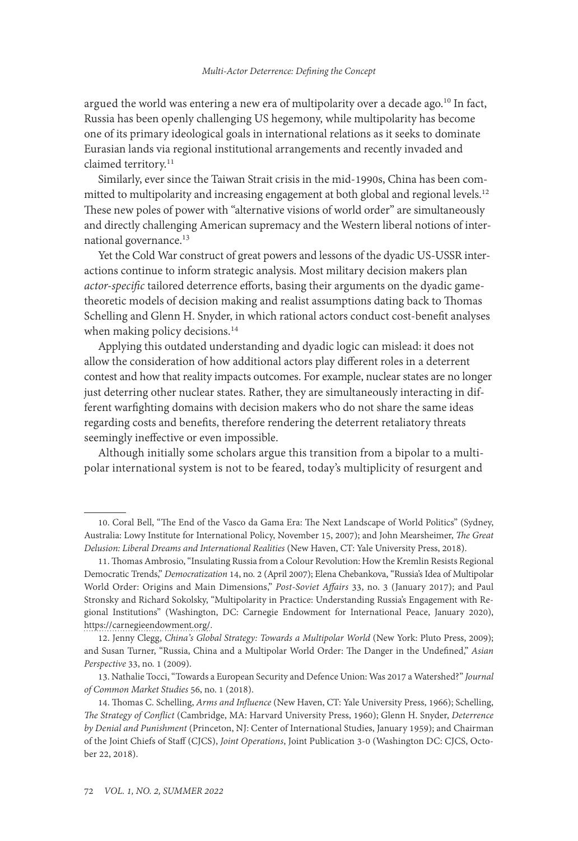argued the world was entering a new era of multipolarity over a decade ago.<sup>10</sup> In fact, Russia has been openly challenging US hegemony, while multipolarity has become one of its primary ideological goals in international relations as it seeks to dominate Eurasian lands via regional institutional arrangements and recently invaded and claimed territory.<sup>11</sup>

Similarly, ever since the Taiwan Strait crisis in the mid-1990s, China has been committed to multipolarity and increasing engagement at both global and regional levels.<sup>12</sup> These new poles of power with "alternative visions of world order" are simultaneously and directly challenging American supremacy and the Western liberal notions of international governance.<sup>13</sup>

Yet the Cold War construct of great powers and lessons of the dyadic US-USSR interactions continue to inform strategic analysis. Most military decision makers plan *actor-specific* tailored deterrence efforts, basing their arguments on the dyadic gametheoretic models of decision making and realist assumptions dating back to Thomas Schelling and Glenn H. Snyder, in which rational actors conduct cost-benefit analyses when making policy decisions.<sup>14</sup>

Applying this outdated understanding and dyadic logic can mislead: it does not allow the consideration of how additional actors play different roles in a deterrent contest and how that reality impacts outcomes. For example, nuclear states are no longer just deterring other nuclear states. Rather, they are simultaneously interacting in different warfighting domains with decision makers who do not share the same ideas regarding costs and benefits, therefore rendering the deterrent retaliatory threats seemingly ineffective or even impossible.

Although initially some scholars argue this transition from a bipolar to a multipolar international system is not to be feared, today's multiplicity of resurgent and

<sup>10.</sup> Coral Bell, "The End of the Vasco da Gama Era: The Next Landscape of World Politics" (Sydney, Australia: Lowy Institute for International Policy, November 15, 2007); and John Mearsheimer, *The Great Delusion: Liberal Dreams and International Realities* (New Haven, CT: Yale University Press, 2018).

<sup>11.</sup> Thomas Ambrosio, "Insulating Russia from a Colour Revolution: How the Kremlin Resists Regional Democratic Trends," *Democratization* 14, no. 2 (April 2007); Elena Chebankova, "Russia's Idea of Multipolar World Order: Origins and Main Dimensions," *Post-Soviet Affairs* 33, no. 3 (January 2017); and Paul Stronsky and Richard Sokolsky, "Multipolarity in Practice: Understanding Russia's Engagement with Regional Institutions" (Washington, DC: Carnegie Endowment for International Peace, January 2020), [https://carnegieendowment.org/](https://carnegieendowment.org/2020/01/08/multipolarity-in-practice-understanding-russia-s-engagement-with-regional-institutions-pub-80717).

<sup>12.</sup> Jenny Clegg, *China's Global Strategy: Towards a Multipolar World* (New York: Pluto Press, 2009); and Susan Turner, "Russia, China and a Multipolar World Order: The Danger in the Undefined," *Asian Perspective* 33, no. 1 (2009).

<sup>13.</sup> Nathalie Tocci, "Towards a European Security and Defence Union: Was 2017 a Watershed?" *Journal of Common Market Studies* 56, no. 1 (2018).

<sup>14.</sup> Thomas C. Schelling, *Arms and Influence* (New Haven, CT: Yale University Press, 1966); Schelling, *The Strategy of Conflict* (Cambridge, MA: Harvard University Press, 1960); Glenn H. Snyder, *Deterrence by Denial and Punishment* (Princeton, NJ: Center of International Studies, January 1959); and Chairman of the Joint Chiefs of Staff (CJCS), *Joint Operations*, Joint Publication 3-0 (Washington DC: CJCS, October 22, 2018).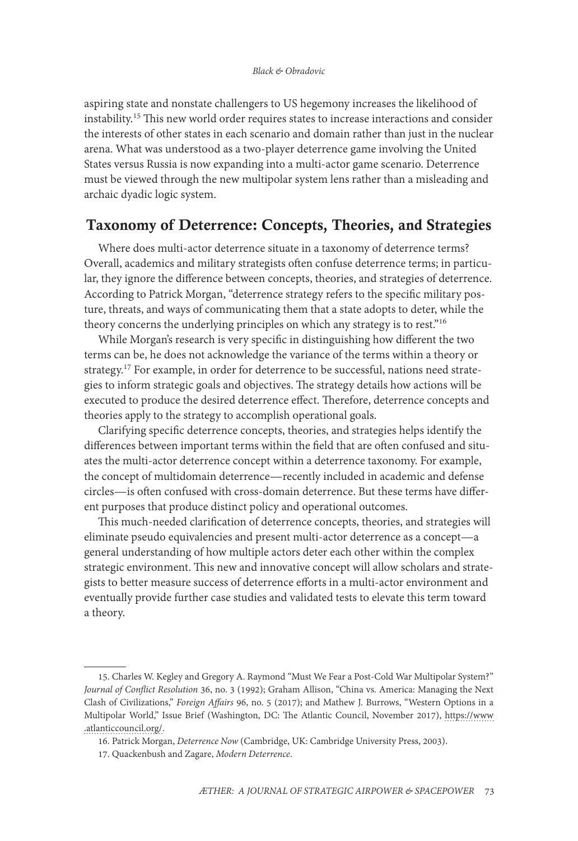aspiring state and nonstate challengers to US hegemony increases the likelihood of instability.15 This new world order requires states to increase interactions and consider the interests of other states in each scenario and domain rather than just in the nuclear arena. What was understood as a two-player deterrence game involving the United States versus Russia is now expanding into a multi-actor game scenario. Deterrence must be viewed through the new multipolar system lens rather than a misleading and archaic dyadic logic system.

# Taxonomy of Deterrence: Concepts, Theories, and Strategies

Where does multi-actor deterrence situate in a taxonomy of deterrence terms? Overall, academics and military strategists often confuse deterrence terms; in particular, they ignore the difference between concepts, theories, and strategies of deterrence. According to Patrick Morgan, "deterrence strategy refers to the specific military posture, threats, and ways of communicating them that a state adopts to deter, while the theory concerns the underlying principles on which any strategy is to rest."<sup>16</sup>

While Morgan's research is very specific in distinguishing how different the two terms can be, he does not acknowledge the variance of the terms within a theory or strategy.<sup>17</sup> For example, in order for deterrence to be successful, nations need strategies to inform strategic goals and objectives. The strategy details how actions will be executed to produce the desired deterrence effect. Therefore, deterrence concepts and theories apply to the strategy to accomplish operational goals.

Clarifying specific deterrence concepts, theories, and strategies helps identify the differences between important terms within the field that are often confused and situates the multi-actor deterrence concept within a deterrence taxonomy. For example, the concept of multidomain deterrence—recently included in academic and defense circles—is often confused with cross-domain deterrence. But these terms have different purposes that produce distinct policy and operational outcomes.

This much-needed clarification of deterrence concepts, theories, and strategies will eliminate pseudo equivalencies and present multi-actor deterrence as a concept—a general understanding of how multiple actors deter each other within the complex strategic environment. This new and innovative concept will allow scholars and strategists to better measure success of deterrence efforts in a multi-actor environment and eventually provide further case studies and validated tests to elevate this term toward a theory.

<sup>15.</sup> Charles W. Kegley and Gregory A. Raymond "Must We Fear a Post-Cold War Multipolar System?" *Journal of Conflict Resolution* 36, no. 3 (1992); Graham Allison, "China vs. America: Managing the Next Clash of Civilizations," *Foreign Affairs* 96, no. 5 (2017); and Mathew J. Burrows, "Western Options in a Multipolar World," Issue Brief (Washington, DC: The Atlantic Council, November 2017), [https://www](https://www.atlanticcouncil.org/wp-content/uploads/2017/11/Western_Options_in_a_Multipolar_World_web_1127.pdf) [.atlanticcouncil.org/](https://www.atlanticcouncil.org/wp-content/uploads/2017/11/Western_Options_in_a_Multipolar_World_web_1127.pdf).

<sup>16.</sup> Patrick Morgan, *Deterrence Now* (Cambridge, UK: Cambridge University Press, 2003).

<sup>17.</sup> Quackenbush and Zagare, *Modern Deterrence*.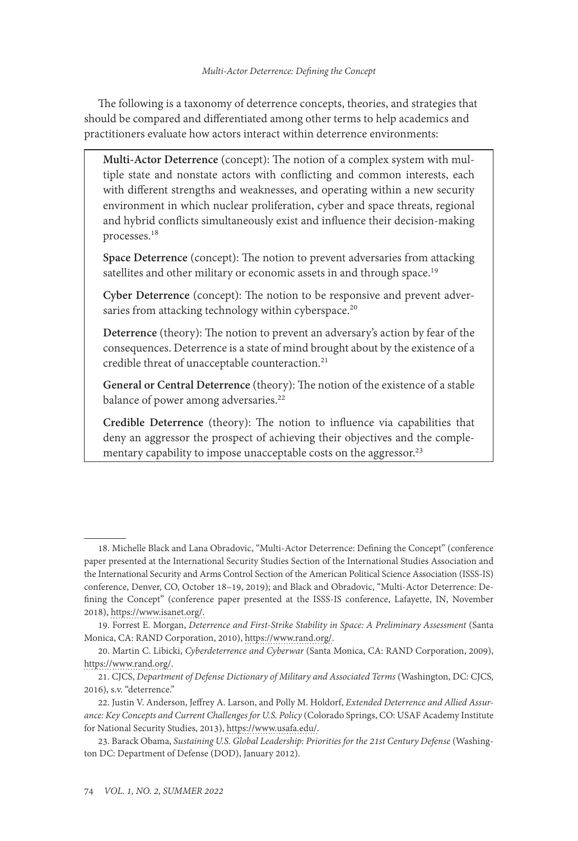The following is a taxonomy of deterrence concepts, theories, and strategies that should be compared and differentiated among other terms to help academics and practitioners evaluate how actors interact within deterrence environments:

**Multi-Actor Deterrence** (concept): The notion of a complex system with multiple state and nonstate actors with conflicting and common interests, each with different strengths and weaknesses, and operating within a new security environment in which nuclear proliferation, cyber and space threats, regional and hybrid conflicts simultaneously exist and influence their decision-making processes.18

**Space Deterrence** (concept): The notion to prevent adversaries from attacking satellites and other military or economic assets in and through space.<sup>19</sup>

**Cyber Deterrence** (concept): The notion to be responsive and prevent adversaries from attacking technology within cyberspace.<sup>20</sup>

**Deterrence** (theory): The notion to prevent an adversary's action by fear of the consequences. Deterrence is a state of mind brought about by the existence of a credible threat of unacceptable counteraction.<sup>21</sup>

**General or Central Deterrence** (theory): The notion of the existence of a stable balance of power among adversaries.<sup>22</sup>

**Credible Deterrence** (theory): The notion to influence via capabilities that deny an aggressor the prospect of achieving their objectives and the complementary capability to impose unacceptable costs on the aggressor.<sup>23</sup>

<sup>18.</sup> Michelle Black and Lana Obradovic, "Multi-Actor Deterrence: Defining the Concept" (conference paper presented at the International Security Studies Section of the International Studies Association and the International Security and Arms Control Section of the American Political Science Association (ISSS-IS) conference, Denver, CO, October 18–19, 2019); and Black and Obradovic, "Multi-Actor Deterrence: Defining the Concept" (conference paper presented at the ISSS-IS conference, Lafayette, IN, November 2018), https://www.isanet.org/.

<sup>19.</sup> Forrest E. Morgan, *Deterrence and First-Strike Stability in Space: A Preliminary Assessment* (Santa Monica, CA: RAND Corporation, 2010), [https://www.rand.org/](https://www.rand.org/pubs/monographs/MG916.html).

<sup>20.</sup> Martin C. Libicki, *Cyberdeterrence and Cyberwar* (Santa Monica, CA: RAND Corporation, 2009), [https://www.rand.org/.](https://www.rand.org/pubs/monographs/MG877.html)

<sup>21.</sup> CJCS, *Department of Defense Dictionary of Military and Associated Terms* (Washington, DC: CJCS, 2016), s.v. "deterrence."

<sup>22.</sup> Justin V. Anderson, Jeffrey A. Larson, and Polly M. Holdorf, *Extended Deterrence and Allied Assurance: Key Concepts and Current Challenges for U.S. Policy* (Colorado Springs, CO: USAF Academy Institute for National Security Studies, 2013), [https://www.usafa.edu/.](https://www.usafa.edu/app/uploads/OCP69.pdf)

<sup>23.</sup> Barack Obama, *Sustaining U.S. Global Leadership: Priorities for the 21st Century Defense* (Washington DC: Department of Defense (DOD), January 2012).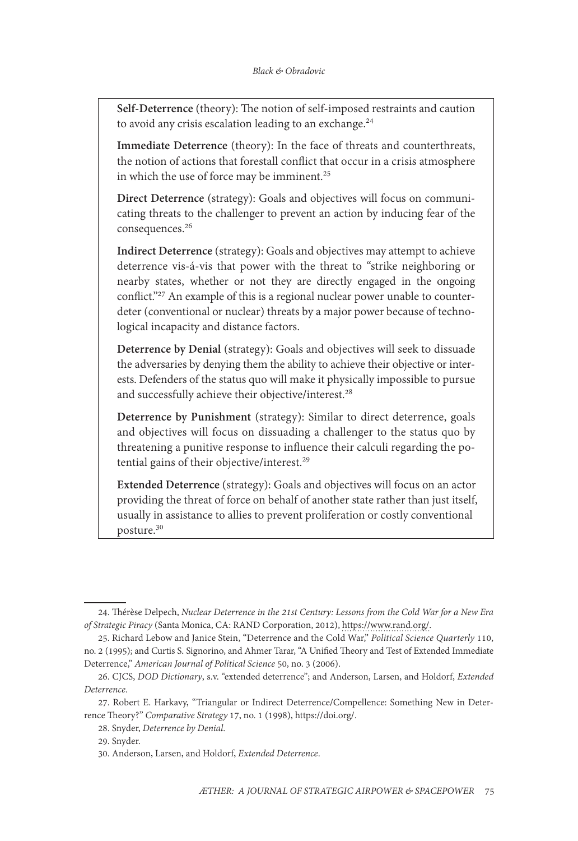**Self-Deterrence** (theory): The notion of self-imposed restraints and caution to avoid any crisis escalation leading to an exchange.<sup>24</sup>

**Immediate Deterrence** (theory): In the face of threats and counterthreats, the notion of actions that forestall conflict that occur in a crisis atmosphere in which the use of force may be imminent.<sup>25</sup>

**Direct Deterrence** (strategy): Goals and objectives will focus on communicating threats to the challenger to prevent an action by inducing fear of the consequences.26

**Indirect Deterrence** (strategy): Goals and objectives may attempt to achieve deterrence vis‐á‐vis that power with the threat to "strike neighboring or nearby states, whether or not they are directly engaged in the ongoing conflict."27 An example of this is a regional nuclear power unable to counterdeter (conventional or nuclear) threats by a major power because of technological incapacity and distance factors.

**Deterrence by Denial** (strategy): Goals and objectives will seek to dissuade the adversaries by denying them the ability to achieve their objective or interests. Defenders of the status quo will make it physically impossible to pursue and successfully achieve their objective/interest.<sup>28</sup>

**Deterrence by Punishment** (strategy): Similar to direct deterrence, goals and objectives will focus on dissuading a challenger to the status quo by threatening a punitive response to influence their calculi regarding the potential gains of their objective/interest.<sup>29</sup>

**Extended Deterrence** (strategy): Goals and objectives will focus on an actor providing the threat of force on behalf of another state rather than just itself, usually in assistance to allies to prevent proliferation or costly conventional posture.30

<sup>24.</sup> Thérèse Delpech, *Nuclear Deterrence in the 21st Century: Lessons from the Cold War for a New Era of Strategic Piracy* (Santa Monica, CA: RAND Corporation, 2012), [https://www.rand.org/.](https://www.rand.org/pubs/monographs/MG1103.html)

<sup>25.</sup> Richard Lebow and Janice Stein, "Deterrence and the Cold War," *Political Science Quarterly* 110, no. 2 (1995); and Curtis S. Signorino, and Ahmer Tarar, "A Unified Theory and Test of Extended Immediate Deterrence," *American Journal of Political Science* 50, no. 3 (2006).

<sup>26.</sup> CJCS, *DOD Dictionary*, s.v. "extended deterrence"; and Anderson, Larsen, and Holdorf, *Extended Deterrence*.

<sup>27.</sup> Robert E. Harkavy, "Triangular or Indirect Deterrence/Compellence: Something New in Deterrence Theory?" *Comparative Strategy* 17, no. 1 (1998), [https://doi.org/.](https://doi.org/10.1080/01495939808403132)

<sup>28.</sup> Snyder, *Deterrence by Denial*.

<sup>29.</sup> Snyder.

<sup>30.</sup> Anderson, Larsen, and Holdorf, *Extended Deterrence*.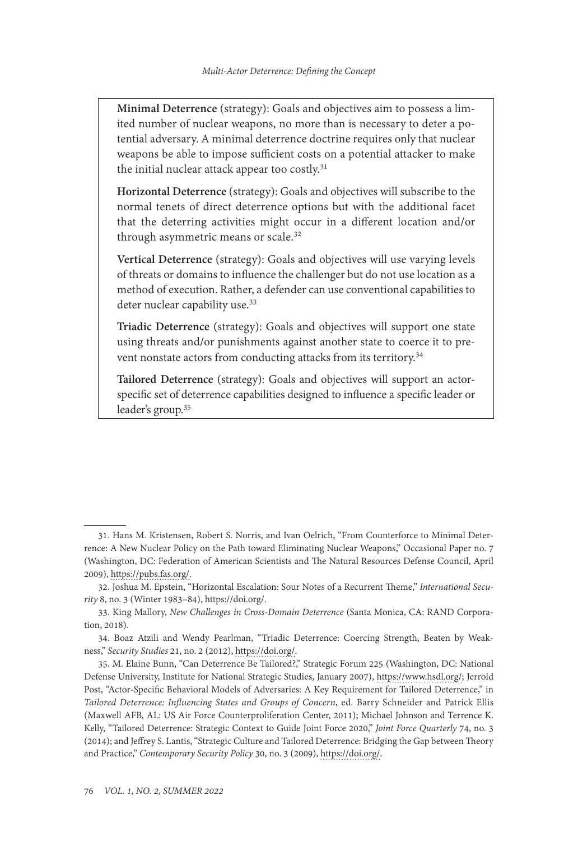**Minimal Deterrence** (strategy): Goals and objectives aim to possess a limited number of nuclear weapons, no more than is necessary to deter a potential adversary. A minimal deterrence doctrine requires only that nuclear weapons be able to impose sufficient costs on a potential attacker to make the initial nuclear attack appear too costly.<sup>31</sup>

**Horizontal Deterrence** (strategy): Goals and objectives will subscribe to the normal tenets of direct deterrence options but with the additional facet that the deterring activities might occur in a different location and/or through asymmetric means or scale.<sup>32</sup>

**Vertical Deterrence** (strategy): Goals and objectives will use varying levels of threats or domains to influence the challenger but do not use location as a method of execution. Rather, a defender can use conventional capabilities to deter nuclear capability use.<sup>33</sup>

**Triadic Deterrence** (strategy): Goals and objectives will support one state using threats and/or punishments against another state to coerce it to prevent nonstate actors from conducting attacks from its territory.34

**Tailored Deterrence** (strategy): Goals and objectives will support an actorspecific set of deterrence capabilities designed to influence a specific leader or leader's group.35

<sup>31.</sup> Hans M. Kristensen, Robert S. Norris, and Ivan Oelrich, "From Counterforce to Minimal Deterrence: A New Nuclear Policy on the Path toward Eliminating Nuclear Weapons," Occasional Paper no. 7 (Washington, DC: Federation of American Scientists and The Natural Resources Defense Council, April 2009), [https://pubs.fas.org/](https://pubs.fas.org/_docs/occasionalpaper7.pdf).

<sup>32.</sup> Joshua M. Epstein, "Horizontal Escalation: Sour Notes of a Recurrent Theme," *International Security* 8, no. 3 (Winter 1983–84), [https://doi.org/.](https://doi.org/10.2307/2538698)

<sup>33.</sup> King Mallory, *New Challenges in Cross-Domain Deterrence* (Santa Monica, CA: RAND Corporation, 2018).

<sup>34.</sup> Boaz Atzili and Wendy Pearlman, "Triadic Deterrence: Coercing Strength, Beaten by Weakness," *Security Studies* 21, no. 2 (2012), [https://doi.org/.](https://doi.org/10.1080/09636412.2012.679209)

<sup>35.</sup> M. Elaine Bunn, "Can Deterrence Be Tailored?," Strategic Forum 225 (Washington, DC: National Defense University, Institute for National Strategic Studies, January 2007), [https://www.hsdl.org/;](https://www.hsdl.org/?view&did=481759) Jerrold Post, "Actor-Specific Behavioral Models of Adversaries: A Key Requirement for Tailored Deterrence," in *Tailored Deterrence: Influencing States and Groups of Concern*, ed. Barry Schneider and Patrick Ellis (Maxwell AFB, AL: US Air Force Counterproliferation Center, 2011); Michael Johnson and Terrence K. Kelly, "Tailored Deterrence: Strategic Context to Guide Joint Force 2020," *Joint Force Quarterly* 74, no. 3 (2014); and Jeffrey S. Lantis, "Strategic Culture and Tailored Deterrence: Bridging the Gap between Theory and Practice," *Contemporary Security Policy* 30, no. 3 (2009), [https://doi.org/.](https://doi.org/10.1080/13523260903326677)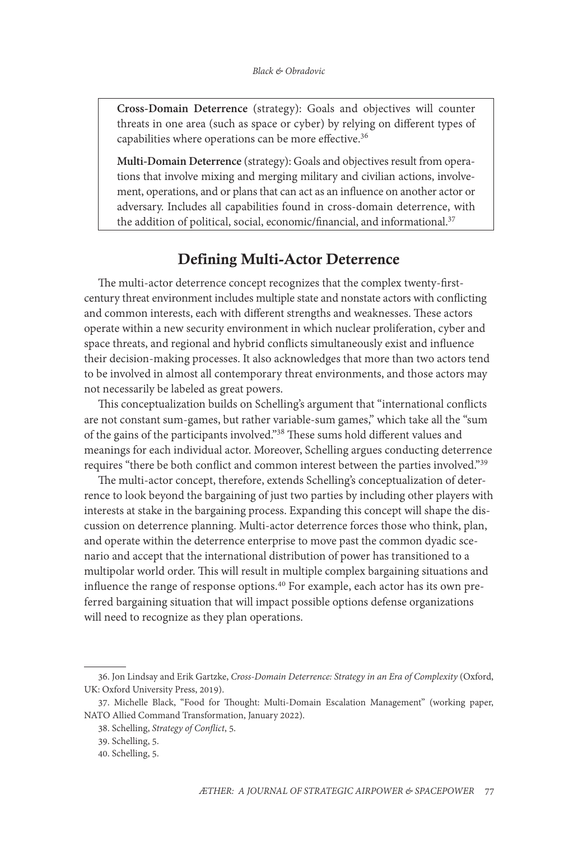**Cross-Domain Deterrence** (strategy): Goals and objectives will counter threats in one area (such as space or cyber) by relying on different types of capabilities where operations can be more effective.<sup>36</sup>

**Multi-Domain Deterrence** (strategy): Goals and objectives result from operations that involve mixing and merging military and civilian actions, involvement, operations, and or plans that can act as an influence on another actor or adversary. Includes all capabilities found in cross-domain deterrence, with the addition of political, social, economic/financial, and informational.<sup>37</sup>

# Defining Multi-Actor Deterrence

The multi-actor deterrence concept recognizes that the complex twenty-firstcentury threat environment includes multiple state and nonstate actors with conflicting and common interests, each with different strengths and weaknesses. These actors operate within a new security environment in which nuclear proliferation, cyber and space threats, and regional and hybrid conflicts simultaneously exist and influence their decision-making processes. It also acknowledges that more than two actors tend to be involved in almost all contemporary threat environments, and those actors may not necessarily be labeled as great powers.

This conceptualization builds on Schelling's argument that "international conflicts are not constant sum-games, but rather variable-sum games," which take all the "sum of the gains of the participants involved."38 These sums hold different values and meanings for each individual actor. Moreover, Schelling argues conducting deterrence requires "there be both conflict and common interest between the parties involved."39

The multi-actor concept, therefore, extends Schelling's conceptualization of deterrence to look beyond the bargaining of just two parties by including other players with interests at stake in the bargaining process. Expanding this concept will shape the discussion on deterrence planning. Multi-actor deterrence forces those who think, plan, and operate within the deterrence enterprise to move past the common dyadic scenario and accept that the international distribution of power has transitioned to a multipolar world order. This will result in multiple complex bargaining situations and influence the range of response options.<sup>40</sup> For example, each actor has its own preferred bargaining situation that will impact possible options defense organizations will need to recognize as they plan operations.

<sup>36.</sup> Jon Lindsay and Erik Gartzke, *Cross-Domain Deterrence: Strategy in an Era of Complexity* (Oxford, UK: Oxford University Press, 2019).

<sup>37.</sup> Michelle Black, "Food for Thought: Multi-Domain Escalation Management" (working paper, NATO Allied Command Transformation, January 2022).

<sup>38.</sup> Schelling, *Strategy of Conflict*, 5.

<sup>39.</sup> Schelling, 5.

<sup>40.</sup> Schelling, 5.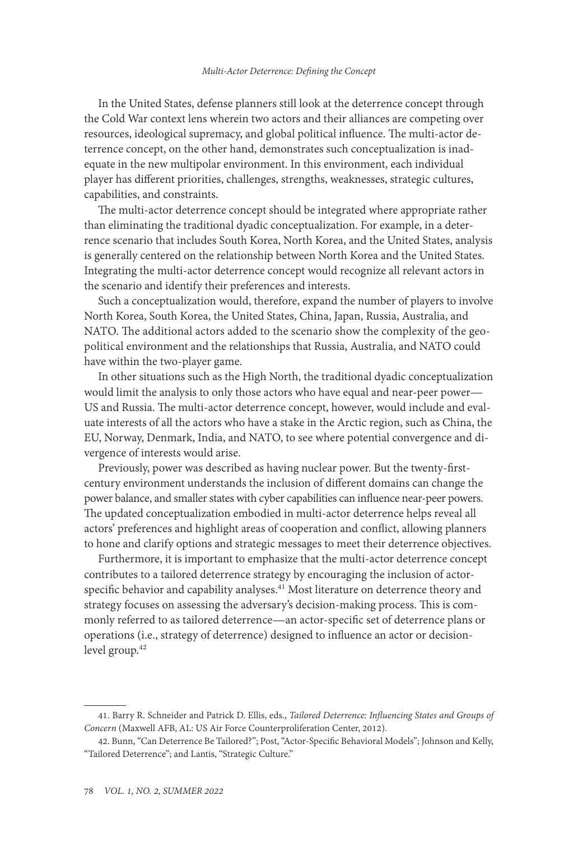In the United States, defense planners still look at the deterrence concept through the Cold War context lens wherein two actors and their alliances are competing over resources, ideological supremacy, and global political influence. The multi-actor deterrence concept, on the other hand, demonstrates such conceptualization is inadequate in the new multipolar environment. In this environment, each individual player has different priorities, challenges, strengths, weaknesses, strategic cultures, capabilities, and constraints.

The multi-actor deterrence concept should be integrated where appropriate rather than eliminating the traditional dyadic conceptualization. For example, in a deterrence scenario that includes South Korea, North Korea, and the United States, analysis is generally centered on the relationship between North Korea and the United States. Integrating the multi-actor deterrence concept would recognize all relevant actors in the scenario and identify their preferences and interests.

Such a conceptualization would, therefore, expand the number of players to involve North Korea, South Korea, the United States, China, Japan, Russia, Australia, and NATO. The additional actors added to the scenario show the complexity of the geopolitical environment and the relationships that Russia, Australia, and NATO could have within the two-player game.

In other situations such as the High North, the traditional dyadic conceptualization would limit the analysis to only those actors who have equal and near-peer power— US and Russia. The multi-actor deterrence concept, however, would include and evaluate interests of all the actors who have a stake in the Arctic region, such as China, the EU, Norway, Denmark, India, and NATO, to see where potential convergence and divergence of interests would arise.

Previously, power was described as having nuclear power. But the twenty-firstcentury environment understands the inclusion of different domains can change the power balance, and smaller states with cyber capabilities can influence near-peer powers. The updated conceptualization embodied in multi-actor deterrence helps reveal all actors' preferences and highlight areas of cooperation and conflict, allowing planners to hone and clarify options and strategic messages to meet their deterrence objectives.

Furthermore, it is important to emphasize that the multi-actor deterrence concept contributes to a tailored deterrence strategy by encouraging the inclusion of actorspecific behavior and capability analyses.<sup>41</sup> Most literature on deterrence theory and strategy focuses on assessing the adversary's decision-making process. This is commonly referred to as tailored deterrence—an actor-specific set of deterrence plans or operations (i.e., strategy of deterrence) designed to influence an actor or decisionlevel group.<sup>42</sup>

<sup>41.</sup> Barry R. Schneider and Patrick D. Ellis, eds., *Tailored Deterrence: Influencing States and Groups of Concern* (Maxwell AFB, AL: US Air Force Counterproliferation Center, 2012).

<sup>42.</sup> Bunn, "Can Deterrence Be Tailored?"; Post, "Actor-Specific Behavioral Models"; Johnson and Kelly, "Tailored Deterrence"; and Lantis, "Strategic Culture."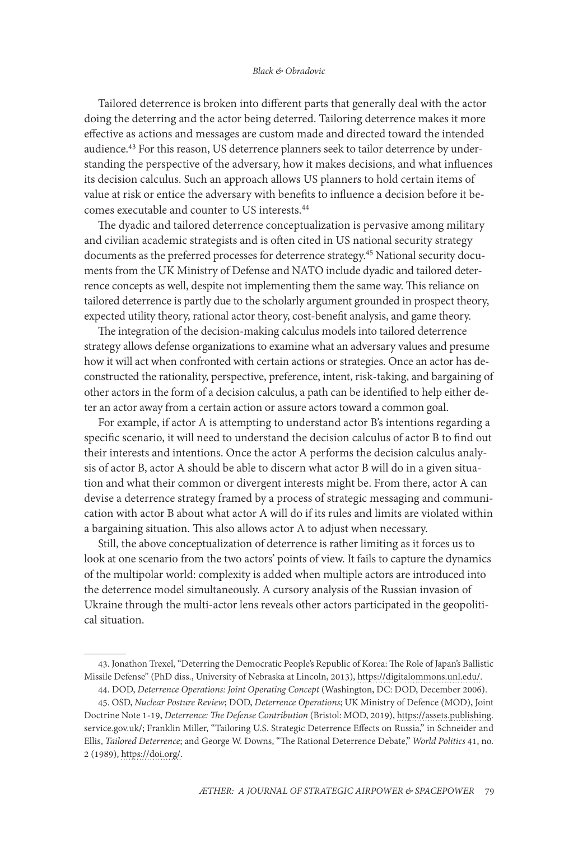#### *Black & Obradovic*

Tailored deterrence is broken into different parts that generally deal with the actor doing the deterring and the actor being deterred. Tailoring deterrence makes it more effective as actions and messages are custom made and directed toward the intended audience.<sup>43</sup> For this reason, US deterrence planners seek to tailor deterrence by understanding the perspective of the adversary, how it makes decisions, and what influences its decision calculus. Such an approach allows US planners to hold certain items of value at risk or entice the adversary with benefits to influence a decision before it becomes executable and counter to US interests.44

The dyadic and tailored deterrence conceptualization is pervasive among military and civilian academic strategists and is often cited in US national security strategy documents as the preferred processes for deterrence strategy.45 National security documents from the UK Ministry of Defense and NATO include dyadic and tailored deterrence concepts as well, despite not implementing them the same way. This reliance on tailored deterrence is partly due to the scholarly argument grounded in prospect theory, expected utility theory, rational actor theory, cost-benefit analysis, and game theory.

The integration of the decision-making calculus models into tailored deterrence strategy allows defense organizations to examine what an adversary values and presume how it will act when confronted with certain actions or strategies. Once an actor has deconstructed the rationality, perspective, preference, intent, risk-taking, and bargaining of other actors in the form of a decision calculus, a path can be identified to help either deter an actor away from a certain action or assure actors toward a common goal.

For example, if actor A is attempting to understand actor B's intentions regarding a specific scenario, it will need to understand the decision calculus of actor B to find out their interests and intentions. Once the actor A performs the decision calculus analysis of actor B, actor A should be able to discern what actor B will do in a given situation and what their common or divergent interests might be. From there, actor A can devise a deterrence strategy framed by a process of strategic messaging and communication with actor B about what actor A will do if its rules and limits are violated within a bargaining situation. This also allows actor A to adjust when necessary.

Still, the above conceptualization of deterrence is rather limiting as it forces us to look at one scenario from the two actors' points of view. It fails to capture the dynamics of the multipolar world: complexity is added when multiple actors are introduced into the deterrence model simultaneously. A cursory analysis of the Russian invasion of Ukraine through the multi-actor lens reveals other actors participated in the geopolitical situation.

<sup>43.</sup> Jonathon Trexel, "Deterring the Democratic People's Republic of Korea: The Role of Japan's Ballistic Missile Defense" (PhD diss., University of Nebraska at Lincoln, 2013), [https://digitalommons.unl.edu/.](https://digitalommons.unl.edu/)

<sup>44.</sup> DOD, *Deterrence Operations: Joint Operating Concept* (Washington, DC: DOD, December 2006).

<sup>45.</sup> OSD, *Nuclear Posture Review*; DOD, *Deterrence Operations*; UK Ministry of Defence (MOD), Joint Doctrine Note 1-19, *Deterrence: The Defense Contribution* (Bristol: MOD, 2019), [https://assets.publishing.](https://assets.publishing.service.gov.uk/government/uploads/system/uploads/attachment_data/file/860499/20190204-doctrine_uk_deterrence_jdn_1_19.pdf) [service.gov.uk/;](https://assets.publishing.service.gov.uk/government/uploads/system/uploads/attachment_data/file/860499/20190204-doctrine_uk_deterrence_jdn_1_19.pdf) Franklin Miller, "Tailoring U.S. Strategic Deterrence Effects on Russia," in Schneider and Ellis, *Tailored Deterrence*; and George W. Downs, "The Rational Deterrence Debate," *World Politics* 41, no. 2 (1989), [https://doi.org/.](https://assets.publishing.service.gov.uk/government/uploads/system/uploads/attachment_data/file/860499/20190204-doctrine_uk_deterrence_jdn_1_19.pdf)